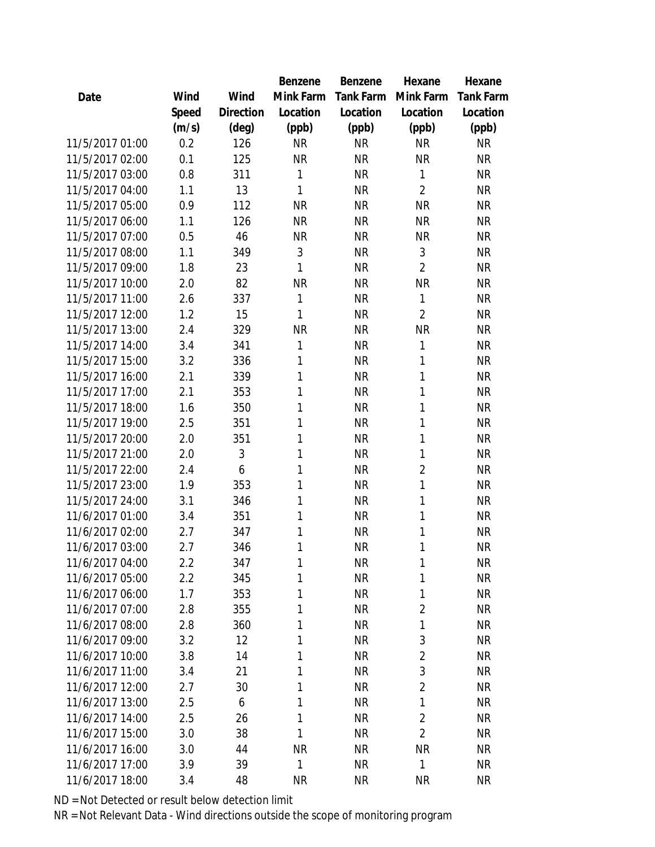|                 |       |                | Benzene   | Benzene   | Hexane         | Hexane           |
|-----------------|-------|----------------|-----------|-----------|----------------|------------------|
| Date            | Wind  | Wind           | Mink Farm | Tank Farm | Mink Farm      | <b>Tank Farm</b> |
|                 | Speed | Direction      | Location  | Location  | Location       | Location         |
|                 | (m/s) | $(\text{deg})$ | (ppb)     | (ppb)     | (ppb)          | (ppb)            |
| 11/5/2017 01:00 | 0.2   | 126            | <b>NR</b> | <b>NR</b> | <b>NR</b>      | <b>NR</b>        |
| 11/5/2017 02:00 | 0.1   | 125            | <b>NR</b> | <b>NR</b> | <b>NR</b>      | <b>NR</b>        |
| 11/5/2017 03:00 | 0.8   | 311            | 1         | <b>NR</b> | 1              | <b>NR</b>        |
| 11/5/2017 04:00 | 1.1   | 13             | 1         | <b>NR</b> | $\overline{2}$ | <b>NR</b>        |
| 11/5/2017 05:00 | 0.9   | 112            | <b>NR</b> | <b>NR</b> | <b>NR</b>      | <b>NR</b>        |
| 11/5/2017 06:00 | 1.1   | 126            | <b>NR</b> | <b>NR</b> | <b>NR</b>      | <b>NR</b>        |
| 11/5/2017 07:00 | 0.5   | 46             | <b>NR</b> | <b>NR</b> | <b>NR</b>      | <b>NR</b>        |
| 11/5/2017 08:00 | 1.1   | 349            | 3         | <b>NR</b> | 3              | <b>NR</b>        |
| 11/5/2017 09:00 | 1.8   | 23             | 1         | <b>NR</b> | $\overline{2}$ | <b>NR</b>        |
| 11/5/2017 10:00 | 2.0   | 82             | <b>NR</b> | <b>NR</b> | <b>NR</b>      | <b>NR</b>        |
| 11/5/2017 11:00 | 2.6   | 337            | 1         | <b>NR</b> | $\mathbf{1}$   | <b>NR</b>        |
| 11/5/2017 12:00 | 1.2   | 15             | 1         | <b>NR</b> | $\overline{2}$ | <b>NR</b>        |
| 11/5/2017 13:00 | 2.4   | 329            | <b>NR</b> | <b>NR</b> | <b>NR</b>      | <b>NR</b>        |
| 11/5/2017 14:00 | 3.4   | 341            | 1         | <b>NR</b> | 1              | <b>NR</b>        |
| 11/5/2017 15:00 | 3.2   | 336            | 1         | <b>NR</b> | $\mathbf{1}$   | <b>NR</b>        |
| 11/5/2017 16:00 | 2.1   | 339            | 1         | <b>NR</b> | 1              | <b>NR</b>        |
| 11/5/2017 17:00 | 2.1   | 353            | 1         | <b>NR</b> | $\mathbf{1}$   | <b>NR</b>        |
| 11/5/2017 18:00 | 1.6   | 350            | 1         | <b>NR</b> | $\mathbf{1}$   | <b>NR</b>        |
| 11/5/2017 19:00 | 2.5   | 351            | 1         | <b>NR</b> | 1              | <b>NR</b>        |
| 11/5/2017 20:00 | 2.0   | 351            | 1         | <b>NR</b> | 1              | <b>NR</b>        |
| 11/5/2017 21:00 | 2.0   | 3              | 1         | <b>NR</b> | 1              | <b>NR</b>        |
| 11/5/2017 22:00 | 2.4   | 6              | 1         | <b>NR</b> | $\overline{2}$ | <b>NR</b>        |
| 11/5/2017 23:00 | 1.9   | 353            | 1         | <b>NR</b> | $\mathbf{1}$   | <b>NR</b>        |
| 11/5/2017 24:00 | 3.1   | 346            | 1         | <b>NR</b> | 1              | <b>NR</b>        |
| 11/6/2017 01:00 | 3.4   | 351            | 1         | <b>NR</b> | $\mathbf{1}$   | <b>NR</b>        |
| 11/6/2017 02:00 | 2.7   | 347            | 1         | <b>NR</b> | $\mathbf{1}$   | <b>NR</b>        |
| 11/6/2017 03:00 | 2.7   | 346            | 1         | <b>NR</b> | 1              | <b>NR</b>        |
| 11/6/2017 04:00 | 2.2   | 347            | 1         | <b>NR</b> | 1              | <b>NR</b>        |
| 11/6/2017 05:00 | 2.2   | 345            | 1         | <b>NR</b> | 1              | <b>NR</b>        |
| 11/6/2017 06:00 | 1.7   | 353            | 1         | <b>NR</b> | $\mathbf{1}$   | <b>NR</b>        |
| 11/6/2017 07:00 | 2.8   | 355            | 1         | <b>NR</b> | $\overline{2}$ | <b>NR</b>        |
| 11/6/2017 08:00 | 2.8   | 360            | 1         | <b>NR</b> | 1              | <b>NR</b>        |
| 11/6/2017 09:00 | 3.2   | 12             | 1         | <b>NR</b> | 3              | <b>NR</b>        |
| 11/6/2017 10:00 | 3.8   | 14             | 1         | <b>NR</b> | $\overline{2}$ | <b>NR</b>        |
| 11/6/2017 11:00 | 3.4   | 21             | 1         | <b>NR</b> | 3              | <b>NR</b>        |
| 11/6/2017 12:00 | 2.7   | 30             | 1         | <b>NR</b> | $\overline{2}$ | <b>NR</b>        |
| 11/6/2017 13:00 | 2.5   | 6              | 1         | <b>NR</b> | $\mathbf{1}$   | <b>NR</b>        |
| 11/6/2017 14:00 | 2.5   | 26             | 1         | <b>NR</b> | $\overline{2}$ | <b>NR</b>        |
| 11/6/2017 15:00 | 3.0   | 38             | 1         | <b>NR</b> | $\overline{2}$ | <b>NR</b>        |
| 11/6/2017 16:00 | 3.0   | 44             | <b>NR</b> | <b>NR</b> | <b>NR</b>      | NR               |
| 11/6/2017 17:00 | 3.9   | 39             | 1         | <b>NR</b> | $\mathbf{1}$   | <b>NR</b>        |
| 11/6/2017 18:00 | 3.4   | 48             | <b>NR</b> | <b>NR</b> | <b>NR</b>      | <b>NR</b>        |
|                 |       |                |           |           |                |                  |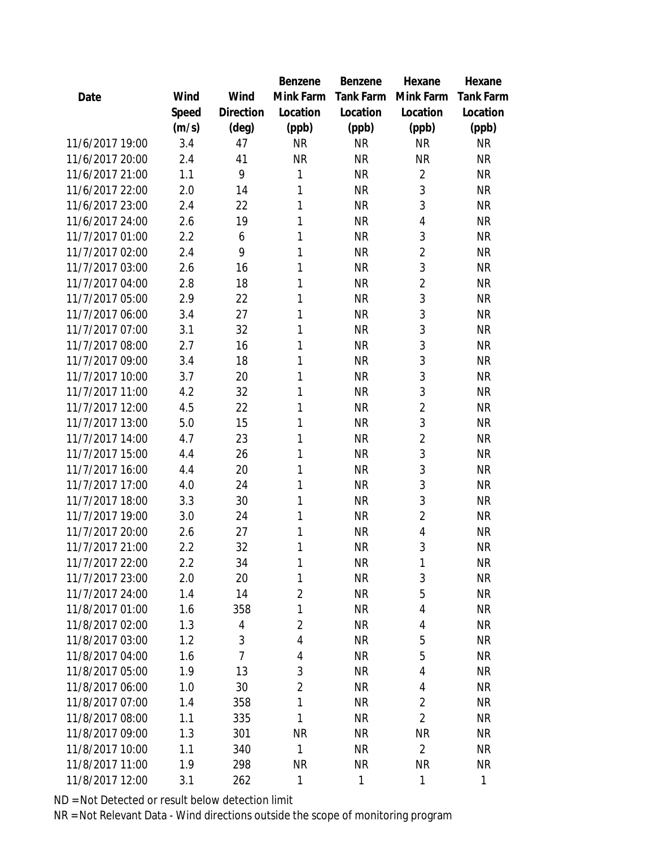|                 |       |                | Benzene        | Benzene          | Hexane         | Hexane           |
|-----------------|-------|----------------|----------------|------------------|----------------|------------------|
| Date            | Wind  | Wind           | Mink Farm      | <b>Tank Farm</b> | Mink Farm      | <b>Tank Farm</b> |
|                 | Speed | Direction      | Location       | Location         | Location       | Location         |
|                 | (m/s) | $(\text{deg})$ | (ppb)          | (ppb)            | (ppb)          | (ppb)            |
| 11/6/2017 19:00 | 3.4   | 47             | <b>NR</b>      | <b>NR</b>        | <b>NR</b>      | <b>NR</b>        |
| 11/6/2017 20:00 | 2.4   | 41             | <b>NR</b>      | <b>NR</b>        | <b>NR</b>      | <b>NR</b>        |
| 11/6/2017 21:00 | 1.1   | 9              | 1              | <b>NR</b>        | $\overline{2}$ | <b>NR</b>        |
| 11/6/2017 22:00 | 2.0   | 14             | 1              | <b>NR</b>        | 3              | <b>NR</b>        |
| 11/6/2017 23:00 | 2.4   | 22             | 1              | <b>NR</b>        | 3              | <b>NR</b>        |
| 11/6/2017 24:00 | 2.6   | 19             | 1              | <b>NR</b>        | 4              | <b>NR</b>        |
| 11/7/2017 01:00 | 2.2   | 6              | 1              | <b>NR</b>        | 3              | <b>NR</b>        |
| 11/7/2017 02:00 | 2.4   | 9              | 1              | <b>NR</b>        | $\overline{2}$ | <b>NR</b>        |
| 11/7/2017 03:00 | 2.6   | 16             | 1              | <b>NR</b>        | 3              | <b>NR</b>        |
| 11/7/2017 04:00 | 2.8   | 18             | 1              | <b>NR</b>        | $\overline{2}$ | <b>NR</b>        |
| 11/7/2017 05:00 | 2.9   | 22             | 1              | <b>NR</b>        | 3              | <b>NR</b>        |
| 11/7/2017 06:00 | 3.4   | 27             | 1              | <b>NR</b>        | 3              | <b>NR</b>        |
| 11/7/2017 07:00 | 3.1   | 32             | 1              | <b>NR</b>        | 3              | <b>NR</b>        |
| 11/7/2017 08:00 | 2.7   | 16             | 1              | <b>NR</b>        | 3              | <b>NR</b>        |
| 11/7/2017 09:00 | 3.4   | 18             | 1              | <b>NR</b>        | 3              | <b>NR</b>        |
| 11/7/2017 10:00 | 3.7   | 20             | 1              | <b>NR</b>        | 3              | <b>NR</b>        |
| 11/7/2017 11:00 | 4.2   | 32             | 1              | <b>NR</b>        | 3              | <b>NR</b>        |
| 11/7/2017 12:00 | 4.5   | 22             | 1              | <b>NR</b>        | $\overline{2}$ | <b>NR</b>        |
| 11/7/2017 13:00 | 5.0   | 15             | 1              | <b>NR</b>        | 3              | <b>NR</b>        |
| 11/7/2017 14:00 | 4.7   | 23             | 1              | <b>NR</b>        | $\overline{2}$ | <b>NR</b>        |
| 11/7/2017 15:00 | 4.4   | 26             | 1              | <b>NR</b>        | 3              | <b>NR</b>        |
| 11/7/2017 16:00 | 4.4   | 20             | 1              | <b>NR</b>        | 3              | <b>NR</b>        |
| 11/7/2017 17:00 | 4.0   | 24             | 1              | <b>NR</b>        | 3              | <b>NR</b>        |
| 11/7/2017 18:00 | 3.3   | 30             | 1              | <b>NR</b>        | 3              | <b>NR</b>        |
| 11/7/2017 19:00 | 3.0   | 24             | 1              | <b>NR</b>        | $\overline{2}$ | <b>NR</b>        |
| 11/7/2017 20:00 | 2.6   | 27             | 1              | <b>NR</b>        | $\overline{4}$ | <b>NR</b>        |
| 11/7/2017 21:00 | 2.2   | 32             | 1              | <b>NR</b>        | 3              | <b>NR</b>        |
| 11/7/2017 22:00 | 2.2   | 34             | 1              | <b>NR</b>        | 1              | <b>NR</b>        |
| 11/7/2017 23:00 | 2.0   | 20             | 1              | <b>NR</b>        | 3              | <b>NR</b>        |
| 11/7/2017 24:00 | 1.4   | 14             | $\overline{2}$ | <b>NR</b>        | 5              | <b>NR</b>        |
| 11/8/2017 01:00 | 1.6   | 358            | 1              | <b>NR</b>        | 4              | <b>NR</b>        |
| 11/8/2017 02:00 | 1.3   | 4              | $\overline{2}$ | <b>NR</b>        | 4              | <b>NR</b>        |
| 11/8/2017 03:00 | 1.2   | 3              | $\overline{4}$ | <b>NR</b>        | 5              | <b>NR</b>        |
| 11/8/2017 04:00 | 1.6   | $\overline{7}$ | 4              | <b>NR</b>        | 5              | <b>NR</b>        |
| 11/8/2017 05:00 | 1.9   | 13             | 3              | <b>NR</b>        | $\overline{4}$ | <b>NR</b>        |
| 11/8/2017 06:00 | 1.0   | 30             | $\overline{2}$ | <b>NR</b>        | 4              | <b>NR</b>        |
| 11/8/2017 07:00 | 1.4   | 358            | $\mathbf{1}$   | <b>NR</b>        | $\overline{2}$ | <b>NR</b>        |
| 11/8/2017 08:00 | 1.1   | 335            | $\mathbf{1}$   | <b>NR</b>        | $\overline{2}$ | <b>NR</b>        |
| 11/8/2017 09:00 | 1.3   | 301            | <b>NR</b>      | <b>NR</b>        | <b>NR</b>      | <b>NR</b>        |
| 11/8/2017 10:00 | 1.1   | 340            | $\mathbf{1}$   | <b>NR</b>        | $\overline{2}$ | <b>NR</b>        |
| 11/8/2017 11:00 | 1.9   | 298            | <b>NR</b>      | <b>NR</b>        | <b>NR</b>      | <b>NR</b>        |
| 11/8/2017 12:00 | 3.1   | 262            | 1              | 1                | $\mathbf{1}$   | 1                |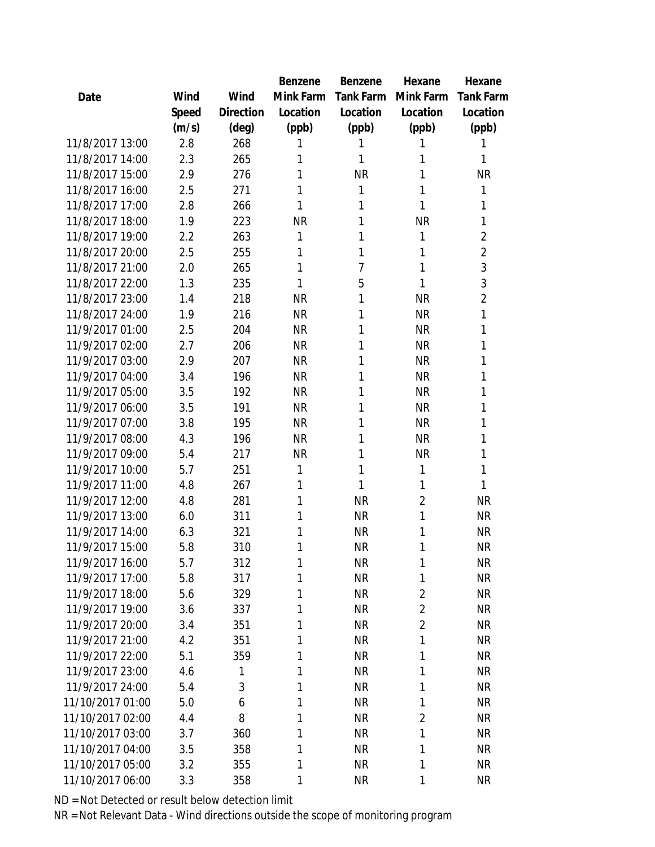|                  |       |                | Benzene   | Benzene        | Hexane         | Hexane           |
|------------------|-------|----------------|-----------|----------------|----------------|------------------|
| Date             | Wind  | Wind           | Mink Farm | Tank Farm      | Mink Farm      | <b>Tank Farm</b> |
|                  | Speed | Direction      | Location  | Location       | Location       | Location         |
|                  | (m/s) | $(\text{deg})$ | (ppb)     | (ppb)          | (ppb)          | (ppb)            |
| 11/8/2017 13:00  | 2.8   | 268            | 1         | 1              | 1              | 1                |
| 11/8/2017 14:00  | 2.3   | 265            | 1         | 1              | 1              | 1                |
| 11/8/2017 15:00  | 2.9   | 276            | 1         | <b>NR</b>      | 1              | <b>NR</b>        |
| 11/8/2017 16:00  | 2.5   | 271            | 1         | 1              | 1              | 1                |
| 11/8/2017 17:00  | 2.8   | 266            | 1         | 1              | 1              | 1                |
| 11/8/2017 18:00  | 1.9   | 223            | <b>NR</b> | 1              | <b>NR</b>      | 1                |
| 11/8/2017 19:00  | 2.2   | 263            | 1         | 1              | 1              | $\overline{2}$   |
| 11/8/2017 20:00  | 2.5   | 255            | 1         | 1              | 1              | $\overline{2}$   |
| 11/8/2017 21:00  | 2.0   | 265            | 1         | $\overline{7}$ | 1              | 3                |
| 11/8/2017 22:00  | 1.3   | 235            | 1         | 5              | 1              | 3                |
| 11/8/2017 23:00  | 1.4   | 218            | <b>NR</b> | 1              | <b>NR</b>      | $\overline{2}$   |
| 11/8/2017 24:00  | 1.9   | 216            | <b>NR</b> | 1              | <b>NR</b>      | 1                |
| 11/9/2017 01:00  | 2.5   | 204            | <b>NR</b> | 1              | <b>NR</b>      | 1                |
| 11/9/2017 02:00  | 2.7   | 206            | <b>NR</b> | 1              | <b>NR</b>      | 1                |
| 11/9/2017 03:00  | 2.9   | 207            | <b>NR</b> | 1              | <b>NR</b>      | 1                |
| 11/9/2017 04:00  | 3.4   | 196            | <b>NR</b> | 1              | <b>NR</b>      | 1                |
| 11/9/2017 05:00  | 3.5   | 192            | <b>NR</b> | 1              | <b>NR</b>      | 1                |
| 11/9/2017 06:00  | 3.5   | 191            | <b>NR</b> | 1              | <b>NR</b>      | 1                |
| 11/9/2017 07:00  | 3.8   | 195            | <b>NR</b> | 1              | <b>NR</b>      | 1                |
| 11/9/2017 08:00  | 4.3   | 196            | <b>NR</b> | 1              | <b>NR</b>      | 1                |
| 11/9/2017 09:00  | 5.4   | 217            | <b>NR</b> | 1              | <b>NR</b>      | 1                |
| 11/9/2017 10:00  | 5.7   | 251            | 1         | 1              | 1              | 1                |
| 11/9/2017 11:00  | 4.8   | 267            | 1         | 1              | 1              | 1                |
| 11/9/2017 12:00  | 4.8   | 281            | 1         | <b>NR</b>      | $\overline{2}$ | <b>NR</b>        |
| 11/9/2017 13:00  | 6.0   | 311            | 1         | <b>NR</b>      | 1              | <b>NR</b>        |
| 11/9/2017 14:00  | 6.3   | 321            | 1         | <b>NR</b>      | 1              | <b>NR</b>        |
| 11/9/2017 15:00  | 5.8   | 310            | 1         | <b>NR</b>      | 1              | <b>NR</b>        |
| 11/9/2017 16:00  | 5.7   | 312            | 1         | NR             | 1              | NR               |
| 11/9/2017 17:00  | 5.8   | 317            | 1         | <b>NR</b>      | 1              | <b>NR</b>        |
| 11/9/2017 18:00  | 5.6   | 329            | 1         | <b>NR</b>      | $\overline{2}$ | <b>NR</b>        |
| 11/9/2017 19:00  | 3.6   | 337            | 1         | <b>NR</b>      | $\overline{2}$ | <b>NR</b>        |
| 11/9/2017 20:00  | 3.4   | 351            | 1         | <b>NR</b>      | $\overline{2}$ | <b>NR</b>        |
| 11/9/2017 21:00  | 4.2   | 351            | 1         | <b>NR</b>      | 1              | <b>NR</b>        |
| 11/9/2017 22:00  | 5.1   | 359            | 1         | <b>NR</b>      | 1              | <b>NR</b>        |
| 11/9/2017 23:00  | 4.6   | 1              | 1         | <b>NR</b>      | 1              | <b>NR</b>        |
| 11/9/2017 24:00  | 5.4   | 3              | 1         | <b>NR</b>      | 1              | <b>NR</b>        |
| 11/10/2017 01:00 | 5.0   | 6              | 1         | <b>NR</b>      | 1              | <b>NR</b>        |
| 11/10/2017 02:00 | 4.4   | 8              | 1         | <b>NR</b>      | $\overline{2}$ | <b>NR</b>        |
| 11/10/2017 03:00 | 3.7   | 360            | 1         | <b>NR</b>      | 1              | <b>NR</b>        |
| 11/10/2017 04:00 | 3.5   | 358            | 1         | <b>NR</b>      | 1              | <b>NR</b>        |
| 11/10/2017 05:00 | 3.2   | 355            | 1         | <b>NR</b>      | 1              | <b>NR</b>        |
| 11/10/2017 06:00 | 3.3   | 358            | 1         | <b>NR</b>      | 1              | <b>NR</b>        |